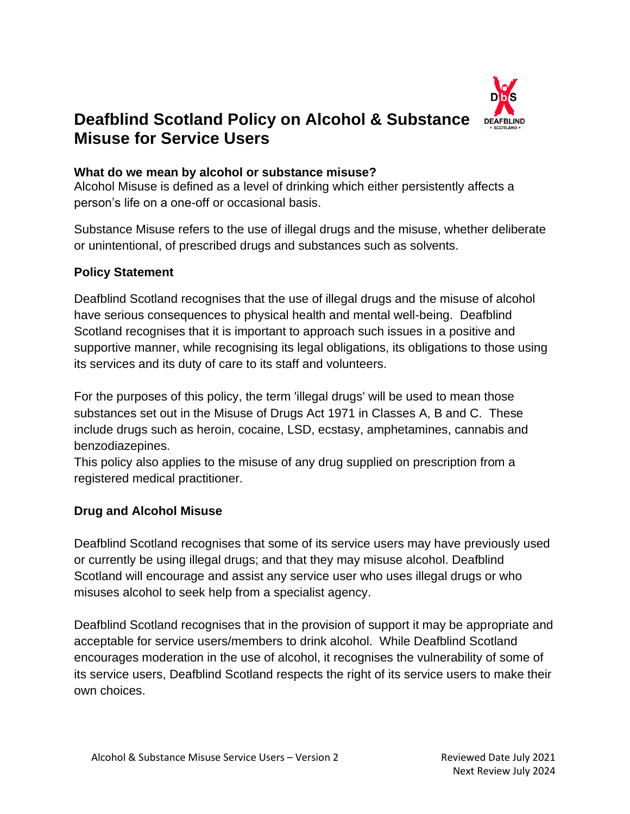

# **Deafblind Scotland Policy on Alcohol & Substance Misuse for Service Users**

#### **What do we mean by alcohol or substance misuse?**

Alcohol Misuse is defined as a level of drinking which either persistently affects a person's life on a one-off or occasional basis.

Substance Misuse refers to the use of illegal drugs and the misuse, whether deliberate or unintentional, of prescribed drugs and substances such as solvents.

#### **Policy Statement**

Deafblind Scotland recognises that the use of illegal drugs and the misuse of alcohol have serious consequences to physical health and mental well-being. Deafblind Scotland recognises that it is important to approach such issues in a positive and supportive manner, while recognising its legal obligations, its obligations to those using its services and its duty of care to its staff and volunteers.

For the purposes of this policy, the term 'illegal drugs' will be used to mean those substances set out in the Misuse of Drugs Act 1971 in Classes A, B and C. These include drugs such as heroin, cocaine, LSD, ecstasy, amphetamines, cannabis and benzodiazepines.

This policy also applies to the misuse of any drug supplied on prescription from a registered medical practitioner.

### **Drug and Alcohol Misuse**

Deafblind Scotland recognises that some of its service users may have previously used or currently be using illegal drugs; and that they may misuse alcohol. Deafblind Scotland will encourage and assist any service user who uses illegal drugs or who misuses alcohol to seek help from a specialist agency.

Deafblind Scotland recognises that in the provision of support it may be appropriate and acceptable for service users/members to drink alcohol. While Deafblind Scotland encourages moderation in the use of alcohol, it recognises the vulnerability of some of its service users, Deafblind Scotland respects the right of its service users to make their own choices.